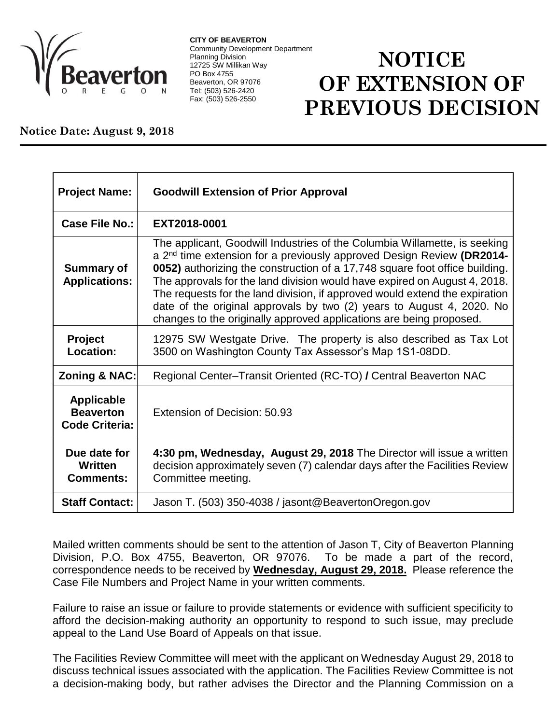

**CITY OF BEAVERTON** Community Development Department Planning Division 12725 SW Millikan Way PO Box 4755 Beaverton, OR 97076 Tel: (503) 526-2420 Fax: (503) 526-2550

## **NOTICE OF EXTENSION OF PREVIOUS DECISION**

## **Notice Date: August 9, 2018**

| <b>Project Name:</b>                                    | <b>Goodwill Extension of Prior Approval</b>                                                                                                                                                                                                                                                                                                                                                                                                                                                                                                               |
|---------------------------------------------------------|-----------------------------------------------------------------------------------------------------------------------------------------------------------------------------------------------------------------------------------------------------------------------------------------------------------------------------------------------------------------------------------------------------------------------------------------------------------------------------------------------------------------------------------------------------------|
| <b>Case File No.:</b>                                   | EXT2018-0001                                                                                                                                                                                                                                                                                                                                                                                                                                                                                                                                              |
| <b>Summary of</b><br><b>Applications:</b>               | The applicant, Goodwill Industries of the Columbia Willamette, is seeking<br>a 2 <sup>nd</sup> time extension for a previously approved Design Review (DR2014-<br>0052) authorizing the construction of a 17,748 square foot office building.<br>The approvals for the land division would have expired on August 4, 2018.<br>The requests for the land division, if approved would extend the expiration<br>date of the original approvals by two (2) years to August 4, 2020. No<br>changes to the originally approved applications are being proposed. |
| <b>Project</b><br>Location:                             | 12975 SW Westgate Drive. The property is also described as Tax Lot<br>3500 on Washington County Tax Assessor's Map 1S1-08DD.                                                                                                                                                                                                                                                                                                                                                                                                                              |
| Zoning & NAC:                                           | Regional Center-Transit Oriented (RC-TO) / Central Beaverton NAC                                                                                                                                                                                                                                                                                                                                                                                                                                                                                          |
| Applicable<br><b>Beaverton</b><br><b>Code Criteria:</b> | Extension of Decision: 50.93                                                                                                                                                                                                                                                                                                                                                                                                                                                                                                                              |
| Due date for<br>Written<br><b>Comments:</b>             | 4:30 pm, Wednesday, August 29, 2018 The Director will issue a written<br>decision approximately seven (7) calendar days after the Facilities Review<br>Committee meeting.                                                                                                                                                                                                                                                                                                                                                                                 |
| <b>Staff Contact:</b>                                   | Jason T. (503) 350-4038 / jasont@BeavertonOregon.gov                                                                                                                                                                                                                                                                                                                                                                                                                                                                                                      |

Mailed written comments should be sent to the attention of Jason T, City of Beaverton Planning Division, P.O. Box 4755, Beaverton, OR 97076. To be made a part of the record, correspondence needs to be received by **Wednesday, August 29, 2018.** Please reference the Case File Numbers and Project Name in your written comments.

Failure to raise an issue or failure to provide statements or evidence with sufficient specificity to afford the decision-making authority an opportunity to respond to such issue, may preclude appeal to the Land Use Board of Appeals on that issue.

The Facilities Review Committee will meet with the applicant on Wednesday August 29, 2018 to discuss technical issues associated with the application. The Facilities Review Committee is not a decision-making body, but rather advises the Director and the Planning Commission on a